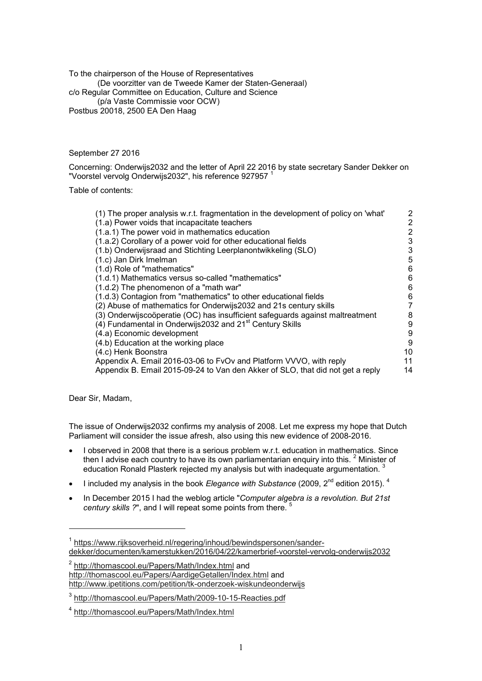To the chairperson of the House of Representatives (De voorzitter van de Tweede Kamer der Staten-Generaal) c/o Regular Committee on Education, Culture and Science (p/a Vaste Commissie voor OCW) Postbus 20018, 2500 EA Den Haag

September 27 2016

Concerning: Onderwijs2032 and the letter of April 22 2016 by state secretary Sander Dekker on "Voorstel vervolg Onderwijs2032", his reference 927957 <sup>1</sup>

Table of contents:

| (1) The proper analysis w.r.t. fragmentation in the development of policy on 'what' | 2  |
|-------------------------------------------------------------------------------------|----|
| (1.a) Power voids that incapacitate teachers                                        | 2  |
| (1.a.1) The power void in mathematics education                                     | 2  |
| (1.a.2) Corollary of a power void for other educational fields                      | 3  |
| (1.b) Onderwijsraad and Stichting Leerplanontwikkeling (SLO)                        | 3  |
| (1.c) Jan Dirk Imelman                                                              | 5  |
| (1.d) Role of "mathematics"                                                         | 6  |
| (1.d.1) Mathematics versus so-called "mathematics"                                  | 6  |
| (1.d.2) The phenomenon of a "math war"                                              | 6  |
| (1.d.3) Contagion from "mathematics" to other educational fields                    | 6  |
| (2) Abuse of mathematics for Onderwijs 2032 and 21s century skills                  |    |
| (3) Onderwijscoöperatie (OC) has insufficient safeguards against maltreatment       | 8  |
| (4) Fundamental in Onderwijs2032 and 21 <sup>st</sup> Century Skills                | 9  |
| (4.a) Economic development                                                          | 9  |
| (4.b) Education at the working place                                                | 9  |
| (4.c) Henk Boonstra                                                                 | 10 |
| Appendix A. Email 2016-03-06 to FvOv and Platform VVVO, with reply                  | 11 |
| Appendix B. Email 2015-09-24 to Van den Akker of SLO, that did not get a reply      | 14 |

Dear Sir, Madam,

 $\overline{a}$ 

The issue of Onderwijs2032 confirms my analysis of 2008. Let me express my hope that Dutch Parliament will consider the issue afresh, also using this new evidence of 2008-2016.

- I observed in 2008 that there is a serious problem w.r.t. education in mathematics. Since then I advise each country to have its own parliamentarian enquiry into this.  $^2$  Minister of education Ronald Plasterk rejected my analysis but with inadequate argumentation.
- I included my analysis in the book *Elegance with Substance* (2009, 2nd edition 2015). <sup>4</sup>
- In December 2015 I had the weblog article "*Computer algebra is a revolution. But 21st century skills ?"*, and I will repeat some points from there.

<sup>&</sup>lt;sup>1</sup> https://www.rijksoverheid.nl/regering/inhoud/bewindspersonen/sanderdekker/documenten/kamerstukken/2016/04/22/kamerbrief-voorstel-vervolg-onderwijs2032

<sup>&</sup>lt;sup>2</sup> http://thomascool.eu/Papers/Math/Index.html and http://thomascool.eu/Papers/AardigeGetallen/Index.html and http://www.ipetitions.com/petition/tk-onderzoek-wiskundeonderwijs

<sup>3</sup> http://thomascool.eu/Papers/Math/2009-10-15-Reacties.pdf

<sup>4</sup> http://thomascool.eu/Papers/Math/Index.html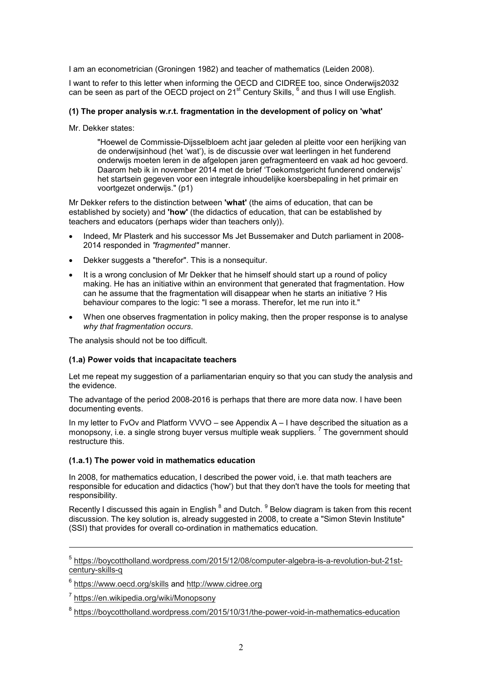I am an econometrician (Groningen 1982) and teacher of mathematics (Leiden 2008).

I want to refer to this letter when informing the OECD and CIDREE too, since Onderwijs2032 can be seen as part of the OECD project on 21 $^{\rm st}$  Century Skills,  $^6$  and thus I will use English.

# **(1) The proper analysis w.r.t. fragmentation in the development of policy on 'what'**

Mr. Dekker states:

"Hoewel de Commissie-Dijsselbloem acht jaar geleden al pleitte voor een herijking van de onderwijsinhoud (het 'wat'), is de discussie over wat leerlingen in het funderend onderwijs moeten leren in de afgelopen jaren gefragmenteerd en vaak ad hoc gevoerd. Daarom heb ik in november 2014 met de brief 'Toekomstgericht funderend onderwijs' het startsein gegeven voor een integrale inhoudelijke koersbepaling in het primair en voortgezet onderwijs." (p1)

Mr Dekker refers to the distinction between **'what'** (the aims of education, that can be established by society) and **'how'** (the didactics of education, that can be established by teachers and educators (perhaps wider than teachers only)).

- Indeed, Mr Plasterk and his successor Ms Jet Bussemaker and Dutch parliament in 2008- 2014 responded in *"fragmented"* manner.
- Dekker suggests a "therefor". This is a nonsequitur.
- It is a wrong conclusion of Mr Dekker that he himself should start up a round of policy making. He has an initiative within an environment that generated that fragmentation. How can he assume that the fragmentation will disappear when he starts an initiative ? His behaviour compares to the logic: "I see a morass. Therefor, let me run into it."
- When one observes fragmentation in policy making, then the proper response is to analyse *why that fragmentation occurs*.

The analysis should not be too difficult.

## **(1.a) Power voids that incapacitate teachers**

Let me repeat my suggestion of a parliamentarian enquiry so that you can study the analysis and the evidence.

The advantage of the period 2008-2016 is perhaps that there are more data now. I have been documenting events.

In my letter to FvOv and Platform VVVO – see Appendix A – I have described the situation as a monopsony, i.e. a single strong buyer versus multiple weak suppliers.<sup>7</sup> The government should restructure this.

## **(1.a.1) The power void in mathematics education**

In 2008, for mathematics education, I described the power void, i.e. that math teachers are responsible for education and didactics ('how') but that they don't have the tools for meeting that responsibility.

Recently I discussed this again in English  $^8$  and Dutch.  $^9$  Below diagram is taken from this recent discussion. The key solution is, already suggested in 2008, to create a "Simon Stevin Institute" (SSI) that provides for overall co-ordination in mathematics education.

<sup>5</sup> https://boycottholland.wordpress.com/2015/12/08/computer-algebra-is-a-revolution-but-21stcentury-skills-a

 $^6$  <u>https://www.oecd.org/skills</u> and <u>http://www.cidree.org</u>

<sup>7</sup> https://en.wikipedia.org/wiki/Monopsony

<sup>&</sup>lt;sup>8</sup> https://boycottholland.wordpress.com/2015/10/31/the-power-void-in-mathematics-education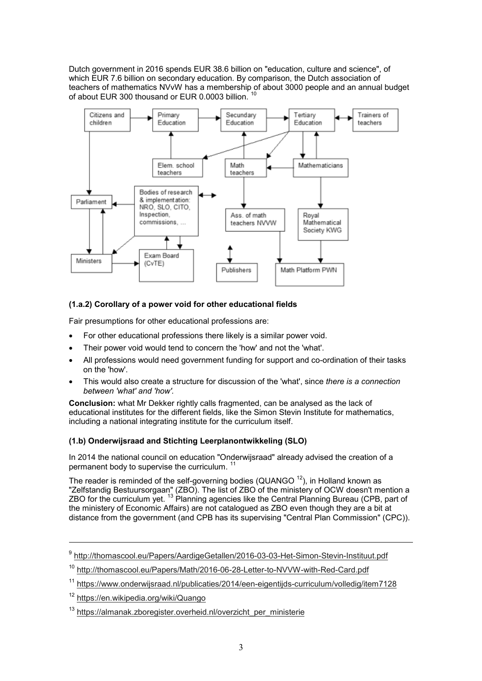Dutch government in 2016 spends EUR 38.6 billion on "education, culture and science", of which EUR 7.6 billion on secondary education. By comparison, the Dutch association of teachers of mathematics NVvW has a membership of about 3000 people and an annual budget of about EUR 300 thousand or EUR 0.0003 billion.



## **(1.a.2) Corollary of a power void for other educational fields**

Fair presumptions for other educational professions are:

- For other educational professions there likely is a similar power void.
- Their power void would tend to concern the 'how' and not the 'what'.
- All professions would need government funding for support and co-ordination of their tasks on the 'how'.
- This would also create a structure for discussion of the 'what', since *there is a connection between 'what' and 'how'.*

**Conclusion:** what Mr Dekker rightly calls fragmented, can be analysed as the lack of educational institutes for the different fields, like the Simon Stevin Institute for mathematics, including a national integrating institute for the curriculum itself.

## **(1.b) Onderwijsraad and Stichting Leerplanontwikkeling (SLO)**

In 2014 the national council on education "Onderwijsraad" already advised the creation of a permanent body to supervise the curriculum.<sup>11</sup>

The reader is reminded of the self-governing bodies (QUANGO  $^{12}$ ), in Holland known as "Zelfstandig Bestuursorgaan" (ZBO). The list of ZBO of the ministery of OCW doesn't mention a ZBO for the curriculum yet.  $^{13}$  Planning agencies like the Central Planning Bureau (CPB, part of the ministery of Economic Affairs) are not catalogued as ZBO even though they are a bit at distance from the government (and CPB has its supervising "Central Plan Commission" (CPC)).

<sup>&</sup>lt;sup>9</sup> http://thomascool.eu/Papers/AardigeGetallen/2016-03-03-Het-Simon-Stevin-Instituut.pdf

<sup>&</sup>lt;sup>10</sup> http://thomascool.eu/Papers/Math/2016-06-28-Letter-to-NVVW-with-Red-Card.pdf

<sup>&</sup>lt;sup>11</sup> https://www.onderwijsraad.nl/publicaties/2014/een-eigentijds-curriculum/volledig/item7128

<sup>12</sup> https://en.wikipedia.org/wiki/Quango

 $13$  https://almanak.zboregister.overheid.nl/overzicht\_per\_ministerie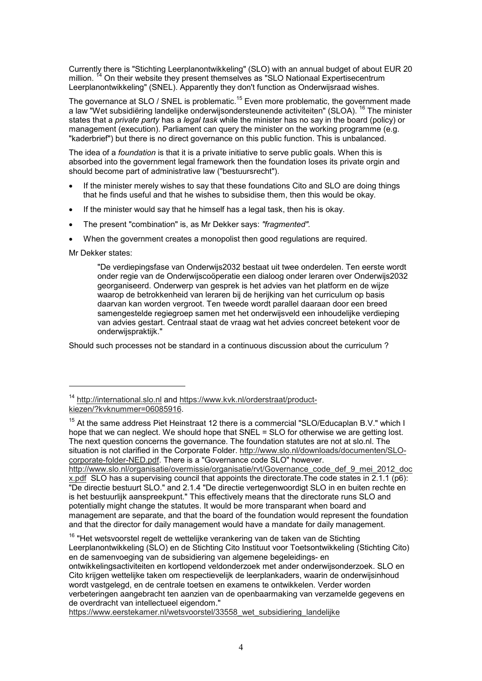Currently there is "Stichting Leerplanontwikkeling" (SLO) with an annual budget of about EUR 20 million. <sup>14</sup> On their website they present themselves as "SLO Nationaal Expertisecentrum Leerplanontwikkeling" (SNEL). Apparently they don't function as Onderwijsraad wishes.

The governance at SLO / SNEL is problematic.<sup>15</sup> Even more problematic, the government made a law "Wet subsidiëring landelijke onderwijsondersteunende activiteiten" (SLOA). <sup>16</sup> The minister states that a *private party* has a *legal task* while the minister has no say in the board (policy) or management (execution). Parliament can query the minister on the working programme (e.g. "kaderbrief") but there is no direct governance on this public function. This is unbalanced.

The idea of a *foundation* is that it is a private initiative to serve public goals. When this is absorbed into the government legal framework then the foundation loses its private orgin and should become part of administrative law ("bestuursrecht").

- If the minister merely wishes to say that these foundations Cito and SLO are doing things that he finds useful and that he wishes to subsidise them, then this would be okay.
- If the minister would say that he himself has a legal task, then his is okay.
- The present "combination" is, as Mr Dekker says: *"fragmented".*
- When the government creates a monopolist then good regulations are required.

Mr Dekker states:

 $\overline{a}$ 

"De verdiepingsfase van Onderwijs2032 bestaat uit twee onderdelen. Ten eerste wordt onder regie van de Onderwijscoöperatie een dialoog onder leraren over Onderwijs2032 georganiseerd. Onderwerp van gesprek is het advies van het platform en de wijze waarop de betrokkenheid van leraren bij de herijking van het curriculum op basis daarvan kan worden vergroot. Ten tweede wordt parallel daaraan door een breed samengestelde regiegroep samen met het onderwijsveld een inhoudelijke verdieping van advies gestart. Centraal staat de vraag wat het advies concreet betekent voor de onderwijspraktijk."

Should such processes not be standard in a continuous discussion about the curriculum ?

http://www.slo.nl/organisatie/overmissie/organisatie/rvt/Governance\_code\_def\_9\_mei\_2012\_doc x.pdf SLO has a supervising council that appoints the directorate. The code states in  $2.1.1$  (p6): "De directie bestuurt SLO." and 2.1.4 "De directie vertegenwoordigt SLO in en buiten rechte en is het bestuurlijk aanspreekpunt." This effectively means that the directorate runs SLO and potentially might change the statutes. It would be more transparant when board and management are separate, and that the board of the foundation would represent the foundation and that the director for daily management would have a mandate for daily management.

 $16$  "Het wetsvoorstel regelt de wettelijke verankering van de taken van de Stichting Leerplanontwikkeling (SLO) en de Stichting Cito Instituut voor Toetsontwikkeling (Stichting Cito) en de samenvoeging van de subsidiering van algemene begeleidings- en ontwikkelingsactiviteiten en kortlopend veldonderzoek met ander onderwijsonderzoek. SLO en Cito krijgen wettelijke taken om respectievelijk de leerplankaders, waarin de onderwijsinhoud wordt vastgelegd, en de centrale toetsen en examens te ontwikkelen. Verder worden verbeteringen aangebracht ten aanzien van de openbaarmaking van verzamelde gegevens en de overdracht van intellectueel eigendom."

https://www.eerstekamer.nl/wetsvoorstel/33558\_wet\_subsidiering\_landelijke

<sup>14</sup> http://international.slo.nl and https://www.kvk.nl/orderstraat/productkiezen/?kvknummer=06085916.

<sup>&</sup>lt;sup>15</sup> At the same address Piet Heinstraat 12 there is a commercial "SLO/Educaplan B.V." which I hope that we can neglect. We should hope that SNEL = SLO for otherwise we are getting lost. The next question concerns the governance. The foundation statutes are not at slo.nl. The situation is not clarified in the Corporate Folder. http://www.slo.nl/downloads/documenten/SLOcorporate-folder-NED.pdf. There is a "Governance code SLO" however.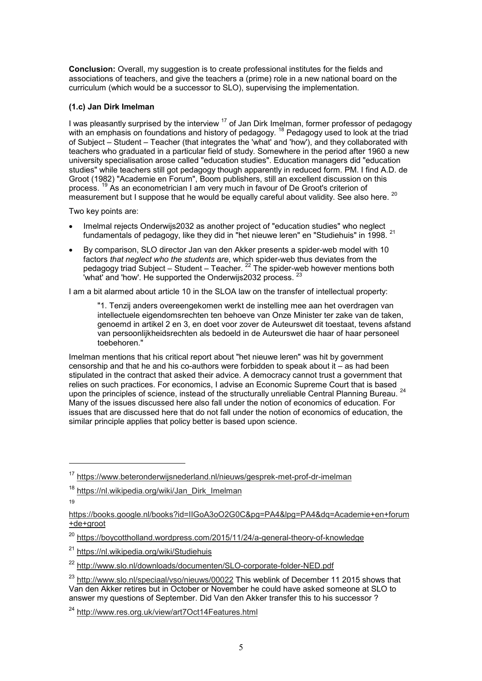**Conclusion:** Overall, my suggestion is to create professional institutes for the fields and associations of teachers, and give the teachers a (prime) role in a new national board on the curriculum (which would be a successor to SLO), supervising the implementation.

## **(1.c) Jan Dirk Imelman**

I was pleasantly surprised by the interview  $17$  of Jan Dirk Imelman, former professor of pedagogy with an emphasis on foundations and history of pedagogy.  $^{\rm 18}$  Pedagogy used to look at the triad of Subject – Student – Teacher (that integrates the 'what' and 'how'), and they collaborated with teachers who graduated in a particular field of study. Somewhere in the period after 1960 a new university specialisation arose called "education studies". Education managers did "education studies" while teachers still got pedagogy though apparently in reduced form. PM. I find A.D. de Groot (1982) "Academie en Forum", Boom publishers, still an excellent discussion on this process. <sup>19</sup> As an econometrician I am very much in favour of De Groot's criterion of measurement but I suppose that he would be equally careful about validity. See also here. <sup>20</sup>

Two key points are:

- Imelmal rejects Onderwijs2032 as another project of "education studies" who neglect fundamentals of pedagogy, like they did in "het nieuwe leren" en "Studiehuis" in 1998. <sup>21</sup>
- By comparison, SLO director Jan van den Akker presents a spider-web model with 10 factors *that neglect who the students are*, which spider-web thus deviates from the pedagogy triad Subject – Student – Teacher. <sup>22</sup> The spider-web however mentions both 'what' and 'how'. He supported the Onderwijs2032 process.<sup>2</sup>

I am a bit alarmed about article 10 in the SLOA law on the transfer of intellectual property:

"1. Tenzij anders overeengekomen werkt de instelling mee aan het overdragen van intellectuele eigendomsrechten ten behoeve van Onze Minister ter zake van de taken, genoemd in artikel 2 en 3, en doet voor zover de Auteurswet dit toestaat, tevens afstand van persoonlijkheidsrechten als bedoeld in de Auteurswet die haar of haar personeel toebehoren."

Imelman mentions that his critical report about "het nieuwe leren" was hit by government censorship and that he and his co-authors were forbidden to speak about it – as had been stipulated in the contract that asked their advice. A democracy cannot trust a government that relies on such practices. For economics, I advise an Economic Supreme Court that is based upon the principles of science, instead of the structurally unreliable Central Planning Bureau.<sup>24</sup> Many of the issues discussed here also fall under the notion of economics of education. For issues that are discussed here that do not fall under the notion of economics of education, the similar principle applies that policy better is based upon science.

19

```
https://books.google.nl/books?id=IIGoA3oO2G0C&pg=PA4&lpg=PA4&dq=Academie+en+forum
+de+groot
```
<sup>&</sup>lt;sup>17</sup> https://www.beteronderwijsnederland.nl/nieuws/gesprek-met-prof-dr-imelman

<sup>&</sup>lt;sup>18</sup> https://nl.wikipedia.org/wiki/Jan\_Dirk\_Imelman

<sup>&</sup>lt;sup>20</sup> https://boycottholland.wordpress.com/2015/11/24/a-general-theory-of-knowledge

<sup>21</sup> https://nl.wikipedia.org/wiki/Studiehuis

<sup>22</sup> http://www.slo.nl/downloads/documenten/SLO-corporate-folder-NED.pdf

<sup>&</sup>lt;sup>23</sup> http://www.slo.nl/speciaal/vso/nieuws/00022 This weblink of December 11 2015 shows that Van den Akker retires but in October or November he could have asked someone at SLO to answer my questions of September. Did Van den Akker transfer this to his successor ?

<sup>24</sup> http://www.res.org.uk/view/art7Oct14Features.html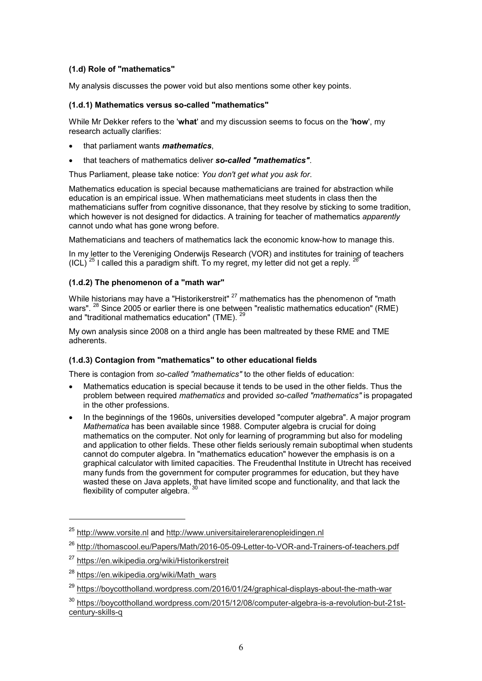## **(1.d) Role of "mathematics"**

My analysis discusses the power void but also mentions some other key points.

# **(1.d.1) Mathematics versus so-called "mathematics"**

While Mr Dekker refers to the '**what**' and my discussion seems to focus on the '**how**', my research actually clarifies:

- that parliament wants *mathematics*,
- that teachers of mathematics deliver *so-called "mathematics"*.

Thus Parliament, please take notice: *You don't get what you ask for*.

Mathematics education is special because mathematicians are trained for abstraction while education is an empirical issue. When mathematicians meet students in class then the mathematicians suffer from cognitive dissonance, that they resolve by sticking to some tradition, which however is not designed for didactics. A training for teacher of mathematics *apparently* cannot undo what has gone wrong before.

Mathematicians and teachers of mathematics lack the economic know-how to manage this.

In my letter to the Vereniging Onderwijs Research (VOR) and institutes for training of teachers (ICL)  $^{25}$  I called this a paradigm shift. To my regret, my letter did not get a reply.  $^{2}$ 

## **(1.d.2) The phenomenon of a "math war"**

While historians may have a "Historikerstreit"  $27$  mathematics has the phenomenon of "math wars". <sup>28</sup> Since 2005 or earlier there is one between "realistic mathematics education" (RME) and "traditional mathematics education" (TME). <sup>29</sup>

My own analysis since 2008 on a third angle has been maltreated by these RME and TME adherents.

## **(1.d.3) Contagion from "mathematics" to other educational fields**

There is contagion from *so-called "mathematics"* to the other fields of education:

- Mathematics education is special because it tends to be used in the other fields. Thus the problem between required *mathematics* and provided *so-called "mathematics"* is propagated in the other professions.
- In the beginnings of the 1960s, universities developed "computer algebra". A major program *Mathematica* has been available since 1988. Computer algebra is crucial for doing mathematics on the computer. Not only for learning of programming but also for modeling and application to other fields. These other fields seriously remain suboptimal when students cannot do computer algebra. In "mathematics education" however the emphasis is on a graphical calculator with limited capacities. The Freudenthal Institute in Utrecht has received many funds from the government for computer programmes for education, but they have wasted these on Java applets, that have limited scope and functionality, and that lack the flexibility of computer algebra. 30

<sup>25</sup> http://www.vorsite.nl and http://www.universitairelerarenopleidingen.nl

<sup>26</sup> http://thomascool.eu/Papers/Math/2016-05-09-Letter-to-VOR-and-Trainers-of-teachers.pdf

<sup>27</sup> https://en.wikipedia.org/wiki/Historikerstreit

<sup>&</sup>lt;sup>28</sup> https://en.wikipedia.org/wiki/Math\_wars

<sup>29</sup> https://boycottholland.wordpress.com/2016/01/24/graphical-displays-about-the-math-war

<sup>&</sup>lt;sup>30</sup> https://boycottholland.wordpress.com/2015/12/08/computer-algebra-is-a-revolution-but-21stcentury-skills-q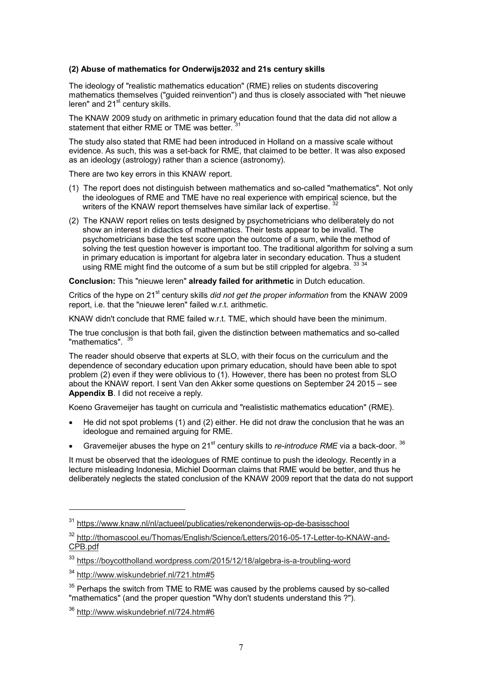#### **(2) Abuse of mathematics for Onderwijs2032 and 21s century skills**

The ideology of "realistic mathematics education" (RME) relies on students discovering mathematics themselves ("guided reinvention") and thus is closely associated with "het nieuwe  $l$  leren" and 21 $\mathrm{^{st}}$  century skills.

The KNAW 2009 study on arithmetic in primary education found that the data did not allow a statement that either RME or TME was better.

The study also stated that RME had been introduced in Holland on a massive scale without evidence. As such, this was a set-back for RME, that claimed to be better. It was also exposed as an ideology (astrology) rather than a science (astronomy).

There are two key errors in this KNAW report.

- (1) The report does not distinguish between mathematics and so-called "mathematics". Not only the ideologues of RME and TME have no real experience with empirical science, but the writers of the KNAW report themselves have similar lack of expertise.<sup>32</sup>
- (2) The KNAW report relies on tests designed by psychometricians who deliberately do not show an interest in didactics of mathematics. Their tests appear to be invalid. The psychometricians base the test score upon the outcome of a sum, while the method of solving the test question however is important too. The traditional algorithm for solving a sum in primary education is important for algebra later in secondary education. Thus a student using RME might find the outcome of a sum but be still crippled for algebra.  $^{33}$   $^{34}$

**Conclusion:** This "nieuwe leren" **already failed for arithmetic** in Dutch education.

Critics of the hype on 21<sup>st</sup> century skills *did not get the proper information* from the KNAW 2009 report, i.e. that the "nieuwe leren" failed w.r.t. arithmetic.

KNAW didn't conclude that RME failed w.r.t. TME, which should have been the minimum.

The true conclusion is that both fail, given the distinction between mathematics and so-called "mathematics".

The reader should observe that experts at SLO, with their focus on the curriculum and the dependence of secondary education upon primary education, should have been able to spot problem (2) even if they were oblivious to (1). However, there has been no protest from SLO about the KNAW report. I sent Van den Akker some questions on September 24 2015 – see **Appendix B**. I did not receive a reply.

Koeno Gravemeijer has taught on curricula and "realististic mathematics education" (RME).

- He did not spot problems (1) and (2) either. He did not draw the conclusion that he was an ideologue and remained arguing for RME.
- Gravemeijer abuses the hype on 21<sup>st</sup> century skills to *re-introduce RME* via a back-door. <sup>36</sup>

It must be observed that the ideologues of RME continue to push the ideology. Recently in a lecture misleading Indonesia, Michiel Doorman claims that RME would be better, and thus he deliberately neglects the stated conclusion of the KNAW 2009 report that the data do not support

<sup>31</sup> https://www.knaw.nl/nl/actueel/publicaties/rekenonderwijs-op-de-basisschool

<sup>&</sup>lt;sup>32</sup> http://thomascool.eu/Thomas/English/Science/Letters/2016-05-17-Letter-to-KNAW-and-CPB.pdf

<sup>33</sup> https://boycottholland.wordpress.com/2015/12/18/algebra-is-a-troubling-word

<sup>34</sup> http://www.wiskundebrief.nl/721.htm#5

 $35$  Perhaps the switch from TME to RME was caused by the problems caused by so-called "mathematics" (and the proper question "Why don't students understand this ?").

<sup>36</sup> http://www.wiskundebrief.nl/724.htm#6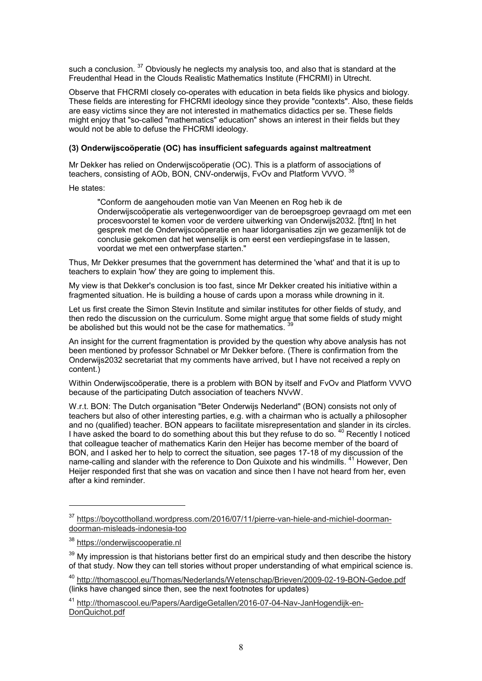such a conclusion. <sup>37</sup> Obviously he neglects my analysis too, and also that is standard at the Freudenthal Head in the Clouds Realistic Mathematics Institute (FHCRMI) in Utrecht.

Observe that FHCRMI closely co-operates with education in beta fields like physics and biology. These fields are interesting for FHCRMI ideology since they provide "contexts". Also, these fields are easy victims since they are not interested in mathematics didactics per se. These fields might enjoy that "so-called "mathematics" education" shows an interest in their fields but they would not be able to defuse the FHCRMI ideology.

### **(3) Onderwijscoöperatie (OC) has insufficient safeguards against maltreatment**

Mr Dekker has relied on Onderwijscoöperatie (OC). This is a platform of associations of teachers, consisting of AOb, BON, CNV-onderwijs, FvOv and Platform VVVO.

He states:

"Conform de aangehouden motie van Van Meenen en Rog heb ik de Onderwijscoöperatie als vertegenwoordiger van de beroepsgroep gevraagd om met een procesvoorstel te komen voor de verdere uitwerking van Onderwijs2032. [ftnt] In het gesprek met de Onderwijscoöperatie en haar lidorganisaties zijn we gezamenlijk tot de conclusie gekomen dat het wenselijk is om eerst een verdiepingsfase in te lassen, voordat we met een ontwerpfase starten."

Thus, Mr Dekker presumes that the government has determined the 'what' and that it is up to teachers to explain 'how' they are going to implement this.

My view is that Dekker's conclusion is too fast, since Mr Dekker created his initiative within a fragmented situation. He is building a house of cards upon a morass while drowning in it.

Let us first create the Simon Stevin Institute and similar institutes for other fields of study, and then redo the discussion on the curriculum. Some might argue that some fields of study might be abolished but this would not be the case for mathematics.

An insight for the current fragmentation is provided by the question why above analysis has not been mentioned by professor Schnabel or Mr Dekker before. (There is confirmation from the Onderwijs2032 secretariat that my comments have arrived, but I have not received a reply on content.)

Within Onderwijscoöperatie, there is a problem with BON by itself and FvOv and Platform VVVO because of the participating Dutch association of teachers NVvW.

W.r.t. BON: The Dutch organisation "Beter Onderwijs Nederland" (BON) consists not only of teachers but also of other interesting parties, e.g. with a chairman who is actually a philosopher and no (qualified) teacher. BON appears to facilitate misrepresentation and slander in its circles. I have asked the board to do something about this but they refuse to do so. <sup>40</sup> Recently I noticed that colleague teacher of mathematics Karin den Heijer has become member of the board of BON, and I asked her to help to correct the situation, see pages 17-18 of my discussion of the name-calling and slander with the reference to Don Quixote and his windmills. <sup>41</sup> However, Den Heijer responded first that she was on vacation and since then I have not heard from her, even after a kind reminder.

<sup>37</sup> https://boycottholland.wordpress.com/2016/07/11/pierre-van-hiele-and-michiel-doormandoorman-misleads-indonesia-too

<sup>38</sup> https://onderwijscooperatie.nl

 $39$  My impression is that historians better first do an empirical study and then describe the history of that study. Now they can tell stories without proper understanding of what empirical science is.

<sup>40</sup> http://thomascool.eu/Thomas/Nederlands/Wetenschap/Brieven/2009-02-19-BON-Gedoe.pdf (links have changed since then, see the next footnotes for updates)

<sup>41</sup> http://thomascool.eu/Papers/AardigeGetallen/2016-07-04-Nav-JanHogendijk-en-DonQuichot.pdf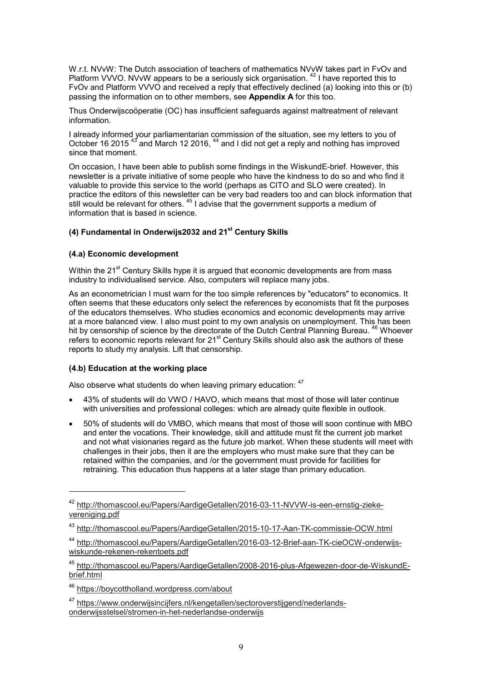W.r.t. NVvW: The Dutch association of teachers of mathematics NVvW takes part in FvOv and Platform VVVO. NVvW appears to be a seriously sick organisation.<sup>42</sup> I have reported this to FvOv and Platform VVVO and received a reply that effectively declined (a) looking into this or (b) passing the information on to other members, see **Appendix A** for this too.

Thus Onderwijscoöperatie (OC) has insufficient safeguards against maltreatment of relevant information.

I already informed your parliamentarian commission of the situation, see my letters to you of October 16 2015<sup>43</sup> and March 12 2016.<sup>44</sup> and I did not get a reply and nothing has improved since that moment.

On occasion, I have been able to publish some findings in the WiskundE-brief. However, this newsletter is a private initiative of some people who have the kindness to do so and who find it valuable to provide this service to the world (perhaps as CITO and SLO were created). In practice the editors of this newsletter can be very bad readers too and can block information that still would be relevant for others.  $45$  I advise that the government supports a medium of information that is based in science.

# **(4) Fundamental in Onderwijs2032 and 21st Century Skills**

# **(4.a) Economic development**

Within the  $21<sup>st</sup>$  Century Skills hype it is argued that economic developments are from mass industry to individualised service. Also, computers will replace many jobs.

As an econometrician I must warn for the too simple references by "educators" to economics. It often seems that these educators only select the references by economists that fit the purposes of the educators themselves. Who studies economics and economic developments may arrive at a more balanced view. I also must point to my own analysis on unemployment. This has been hit by censorship of science by the directorate of the Dutch Central Planning Bureau. <sup>46</sup> Whoever refers to economic reports relevant for 21<sup>st</sup> Century Skills should also ask the authors of these reports to study my analysis. Lift that censorship.

### **(4.b) Education at the working place**

 $\overline{a}$ 

Also observe what students do when leaving primary education:  $47$ 

- 43% of students will do VWO / HAVO, which means that most of those will later continue with universities and professional colleges: which are already quite flexible in outlook.
- 50% of students will do VMBO, which means that most of those will soon continue with MBO and enter the vocations. Their knowledge, skill and attitude must fit the current job market and not what visionaries regard as the future job market. When these students will meet with challenges in their jobs, then it are the employers who must make sure that they can be retained within the companies, and /or the government must provide for facilities for retraining. This education thus happens at a later stage than primary education.

<sup>42</sup> http://thomascool.eu/Papers/AardigeGetallen/2016-03-11-NVVW-is-een-ernstig-ziekevereniging.pdf

<sup>43</sup> http://thomascool.eu/Papers/AardigeGetallen/2015-10-17-Aan-TK-commissie-OCW.html

<sup>44</sup> http://thomascool.eu/Papers/AardigeGetallen/2016-03-12-Brief-aan-TK-cieOCW-onderwijswiskunde-rekenen-rekentoets.pdf

<sup>45</sup> http://thomascool.eu/Papers/AardigeGetallen/2008-2016-plus-Afgewezen-door-de-WiskundEbrief.html

<sup>46</sup> https://boycottholland.wordpress.com/about

<sup>47</sup> https://www.onderwijsincijfers.nl/kengetallen/sectoroverstijgend/nederlandsonderwijsstelsel/stromen-in-het-nederlandse-onderwijs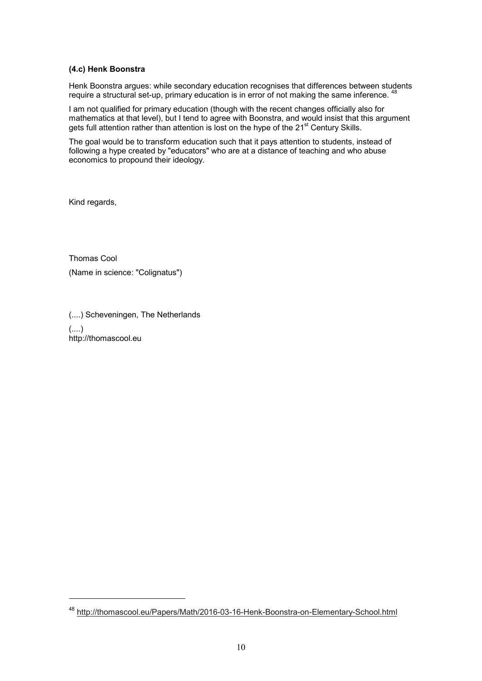### **(4.c) Henk Boonstra**

Henk Boonstra argues: while secondary education recognises that differences between students require a structural set-up, primary education is in error of not making the same inference. <sup>48</sup>

I am not qualified for primary education (though with the recent changes officially also for mathematics at that level), but I tend to agree with Boonstra, and would insist that this argument gets full attention rather than attention is lost on the hype of the 21<sup>st</sup> Century Skills.

The goal would be to transform education such that it pays attention to students, instead of following a hype created by "educators" who are at a distance of teaching and who abuse economics to propound their ideology.

Kind regards,

 $\overline{a}$ 

Thomas Cool (Name in science: "Colignatus")

(....) Scheveningen, The Netherlands (....) http://thomascool.eu

<sup>48</sup> http://thomascool.eu/Papers/Math/2016-03-16-Henk-Boonstra-on-Elementary-School.html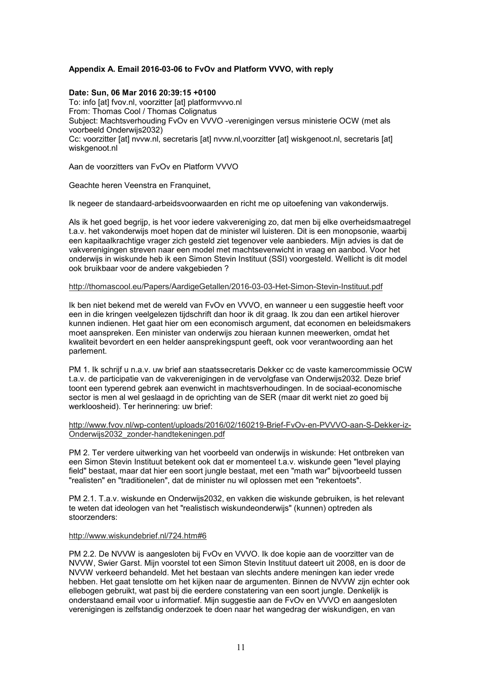# **Appendix A. Email 2016-03-06 to FvOv and Platform VVVO, with reply**

#### **Date: Sun, 06 Mar 2016 20:39:15 +0100**

To: info [at] fvov.nl, voorzitter [at] platformvvvo.nl From: Thomas Cool / Thomas Colignatus Subject: Machtsverhouding FvOv en VVVO -verenigingen versus ministerie OCW (met als voorbeeld Onderwijs2032) Cc: voorzitter [at] nvvw.nl, secretaris [at] nvvw.nl,voorzitter [at] wiskgenoot.nl, secretaris [at] wiskgenoot.nl

Aan de voorzitters van FvOv en Platform VVVO

Geachte heren Veenstra en Franquinet,

Ik negeer de standaard-arbeidsvoorwaarden en richt me op uitoefening van vakonderwijs.

Als ik het goed begrijp, is het voor iedere vakvereniging zo, dat men bij elke overheidsmaatregel t.a.v. het vakonderwijs moet hopen dat de minister wil luisteren. Dit is een monopsonie, waarbij een kapitaalkrachtige vrager zich gesteld ziet tegenover vele aanbieders. Mijn advies is dat de vakverenigingen streven naar een model met machtsevenwicht in vraag en aanbod. Voor het onderwijs in wiskunde heb ik een Simon Stevin Instituut (SSI) voorgesteld. Wellicht is dit model ook bruikbaar voor de andere vakgebieden ?

#### http://thomascool.eu/Papers/AardigeGetallen/2016-03-03-Het-Simon-Stevin-Instituut.pdf

Ik ben niet bekend met de wereld van FvOv en VVVO, en wanneer u een suggestie heeft voor een in die kringen veelgelezen tijdschrift dan hoor ik dit graag. Ik zou dan een artikel hierover kunnen indienen. Het gaat hier om een economisch argument, dat economen en beleidsmakers moet aanspreken. Een minister van onderwijs zou hieraan kunnen meewerken, omdat het kwaliteit bevordert en een helder aansprekingspunt geeft, ook voor verantwoording aan het parlement.

PM 1. Ik schrijf u n.a.v. uw brief aan staatssecretaris Dekker cc de vaste kamercommissie OCW t.a.v. de participatie van de vakverenigingen in de vervolgfase van Onderwijs2032. Deze brief toont een typerend gebrek aan evenwicht in machtsverhoudingen. In de sociaal-economische sector is men al wel geslaagd in de oprichting van de SER (maar dit werkt niet zo goed bij werkloosheid). Ter herinnering: uw brief:

http://www.fvov.nl/wp-content/uploads/2016/02/160219-Brief-FvOv-en-PVVVO-aan-S-Dekker-iz-Onderwijs2032\_zonder-handtekeningen.pdf

PM 2. Ter verdere uitwerking van het voorbeeld van onderwijs in wiskunde: Het ontbreken van een Simon Stevin Instituut betekent ook dat er momenteel t.a.v. wiskunde geen "level playing field" bestaat, maar dat hier een soort jungle bestaat, met een "math war" bijvoorbeeld tussen "realisten" en "traditionelen", dat de minister nu wil oplossen met een "rekentoets".

PM 2.1. T.a.v. wiskunde en Onderwijs2032, en vakken die wiskunde gebruiken, is het relevant te weten dat ideologen van het "realistisch wiskundeonderwijs" (kunnen) optreden als stoorzenders:

#### http://www.wiskundebrief.nl/724.htm#6

PM 2.2. De NVVW is aangesloten bij FvOv en VVVO. Ik doe kopie aan de voorzitter van de NVVW, Swier Garst. Mijn voorstel tot een Simon Stevin Instituut dateert uit 2008, en is door de NVVW verkeerd behandeld. Met het bestaan van slechts andere meningen kan ieder vrede hebben. Het gaat tenslotte om het kijken naar de argumenten. Binnen de NVVW zijn echter ook ellebogen gebruikt, wat past bij die eerdere constatering van een soort jungle. Denkelijk is onderstaand email voor u informatief. Mijn suggestie aan de FvOv en VVVO en aangesloten verenigingen is zelfstandig onderzoek te doen naar het wangedrag der wiskundigen, en van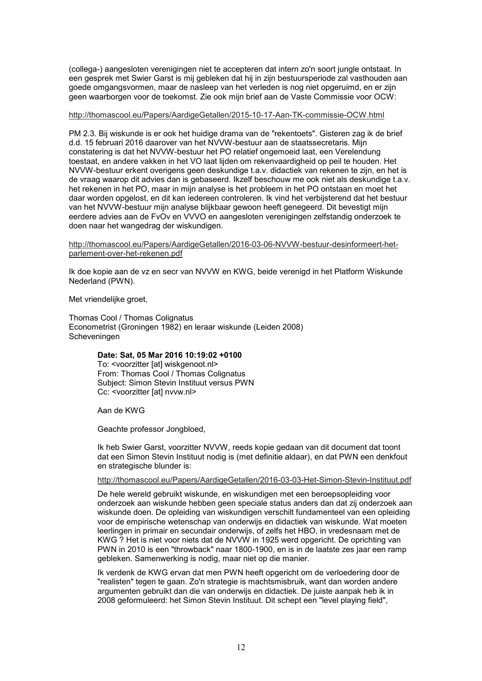(collega-) aangesloten verenigingen niet te accepteren dat intern zo'n soort jungle ontstaat. In een gesprek met Swier Garst is mij gebleken dat hij in zijn bestuursperiode zal vasthouden aan goede omgangsvormen, maar de nasleep van het verleden is nog niet opgeruimd, en er zijn geen waarborgen voor de toekomst. Zie ook mijn brief aan de Vaste Commissie voor OCW:

### http://thomascool.eu/Papers/AardigeGetallen/2015-10-17-Aan-TK-commissie-OCW.html

PM 2.3. Bij wiskunde is er ook het huidige drama van de "rekentoets". Gisteren zag ik de brief d.d. 15 februari 2016 daarover van het NVVW-bestuur aan de staatssecretaris. Mijn constatering is dat het NVVW-bestuur het PO relatief ongemoeid laat, een Verelendung toestaat, en andere vakken in het VO laat lijden om rekenvaardigheid op peil te houden. Het NVVW-bestuur erkent overigens geen deskundige t.a.v. didactiek van rekenen te zijn, en het is de vraag waarop dit advies dan is gebaseerd. Ikzelf beschouw me ook niet als deskundige t.a.v. het rekenen in het PO, maar in mijn analyse is het probleem in het PO ontstaan en moet het daar worden opgelost, en dit kan iedereen controleren. Ik vind het verbijsterend dat het bestuur van het NVVW-bestuur mijn analyse blijkbaar gewoon heeft genegeerd. Dit bevestigt mijn eerdere advies aan de FvOv en VVVO en aangesloten verenigingen zelfstandig onderzoek te doen naar het wangedrag der wiskundigen.

#### http://thomascool.eu/Papers/AardigeGetallen/2016-03-06-NVVW-bestuur-desinformeert-hetparlement-over-het-rekenen.pdf

Ik doe kopie aan de vz en secr van NVVW en KWG, beide verenigd in het Platform Wiskunde Nederland (PWN).

Met vriendelijke groet,

Thomas Cool / Thomas Colignatus Econometrist (Groningen 1982) en leraar wiskunde (Leiden 2008) Scheveningen

### **Date: Sat, 05 Mar 2016 10:19:02 +0100**

To: <voorzitter [at] wiskgenoot.nl> From: Thomas Cool / Thomas Colignatus Subject: Simon Stevin Instituut versus PWN Cc: <voorzitter [at] nvvw.nl>

Aan de KWG

Geachte professor Jongbloed,

Ik heb Swier Garst, voorzitter NVVW, reeds kopie gedaan van dit document dat toont dat een Simon Stevin Instituut nodig is (met definitie aldaar), en dat PWN een denkfout en strategische blunder is:

#### http://thomascool.eu/Papers/AardigeGetallen/2016-03-03-Het-Simon-Stevin-Instituut.pdf

De hele wereld gebruikt wiskunde, en wiskundigen met een beroepsopleiding voor onderzoek aan wiskunde hebben geen speciale status anders dan dat zij onderzoek aan wiskunde doen. De opleiding van wiskundigen verschilt fundamenteel van een opleiding voor de empirische wetenschap van onderwijs en didactiek van wiskunde. Wat moeten leerlingen in primair en secundair onderwijs, of zelfs het HBO, in vredesnaam met de KWG ? Het is niet voor niets dat de NVVW in 1925 werd opgericht. De oprichting van PWN in 2010 is een "throwback" naar 1800-1900, en is in de laatste zes jaar een ramp gebleken. Samenwerking is nodig, maar niet op die manier.

Ik verdenk de KWG ervan dat men PWN heeft opgericht om de verloedering door de "realisten" tegen te gaan. Zo'n strategie is machtsmisbruik, want dan worden andere argumenten gebruikt dan die van onderwijs en didactiek. De juiste aanpak heb ik in 2008 geformuleerd: het Simon Stevin Instituut. Dit schept een "level playing field",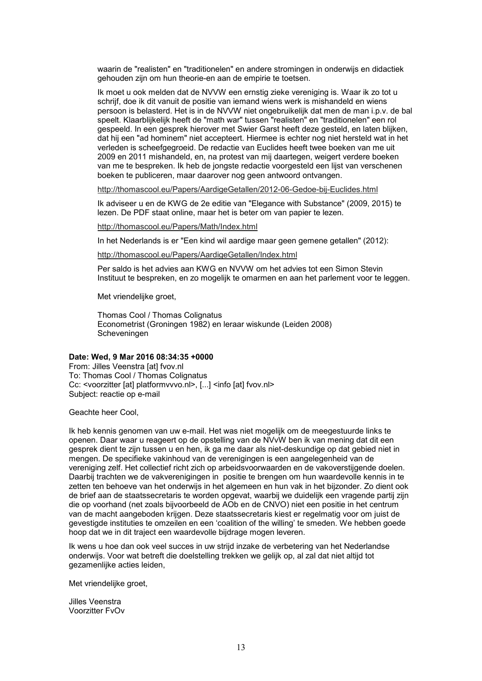waarin de "realisten" en "traditionelen" en andere stromingen in onderwijs en didactiek gehouden zijn om hun theorie-en aan de empirie te toetsen.

Ik moet u ook melden dat de NVVW een ernstig zieke vereniging is. Waar ik zo tot u schrijf, doe ik dit vanuit de positie van iemand wiens werk is mishandeld en wiens persoon is belasterd. Het is in de NVVW niet ongebruikelijk dat men de man i.p.v. de bal speelt. Klaarblijkelijk heeft de "math war" tussen "realisten" en "traditionelen" een rol gespeeld. In een gesprek hierover met Swier Garst heeft deze gesteld, en laten blijken, dat hij een "ad hominem" niet accepteert. Hiermee is echter nog niet hersteld wat in het verleden is scheefgegroeid. De redactie van Euclides heeft twee boeken van me uit 2009 en 2011 mishandeld, en, na protest van mij daartegen, weigert verdere boeken van me te bespreken. Ik heb de jongste redactie voorgesteld een lijst van verschenen boeken te publiceren, maar daarover nog geen antwoord ontvangen.

http://thomascool.eu/Papers/AardigeGetallen/2012-06-Gedoe-bij-Euclides.html

Ik adviseer u en de KWG de 2e editie van "Elegance with Substance" (2009, 2015) te lezen. De PDF staat online, maar het is beter om van papier te lezen.

http://thomascool.eu/Papers/Math/Index.html

In het Nederlands is er "Een kind wil aardige maar geen gemene getallen" (2012):

http://thomascool.eu/Papers/AardigeGetallen/Index.html

Per saldo is het advies aan KWG en NVVW om het advies tot een Simon Stevin Instituut te bespreken, en zo mogelijk te omarmen en aan het parlement voor te leggen.

Met vriendelijke groet,

Thomas Cool / Thomas Colignatus Econometrist (Groningen 1982) en leraar wiskunde (Leiden 2008) **Scheveningen** 

#### **Date: Wed, 9 Mar 2016 08:34:35 +0000**

From: Jilles Veenstra [at] fvov.nl To: Thomas Cool / Thomas Colignatus Cc: <voorzitter [at] platformvvvo.nl>, [...] <info [at] fvov.nl> Subject: reactie op e-mail

Geachte heer Cool,

Ik heb kennis genomen van uw e-mail. Het was niet mogelijk om de meegestuurde links te openen. Daar waar u reageert op de opstelling van de NVvW ben ik van mening dat dit een gesprek dient te zijn tussen u en hen, ik ga me daar als niet-deskundige op dat gebied niet in mengen. De specifieke vakinhoud van de verenigingen is een aangelegenheid van de vereniging zelf. Het collectief richt zich op arbeidsvoorwaarden en de vakoverstijgende doelen. Daarbij trachten we de vakverenigingen in positie te brengen om hun waardevolle kennis in te zetten ten behoeve van het onderwijs in het algemeen en hun vak in het bijzonder. Zo dient ook de brief aan de staatssecretaris te worden opgevat, waarbij we duidelijk een vragende partij zijn die op voorhand (net zoals bijvoorbeeld de AOb en de CNVO) niet een positie in het centrum van de macht aangeboden krijgen. Deze staatssecretaris kiest er regelmatig voor om juist de gevestigde instituties te omzeilen en een 'coalition of the willing' te smeden. We hebben goede hoop dat we in dit traject een waardevolle bijdrage mogen leveren.

Ik wens u hoe dan ook veel succes in uw strijd inzake de verbetering van het Nederlandse onderwijs. Voor wat betreft die doelstelling trekken we gelijk op, al zal dat niet altijd tot gezamenlijke acties leiden,

Met vriendelijke groet,

Jilles Veenstra Voorzitter FvOv